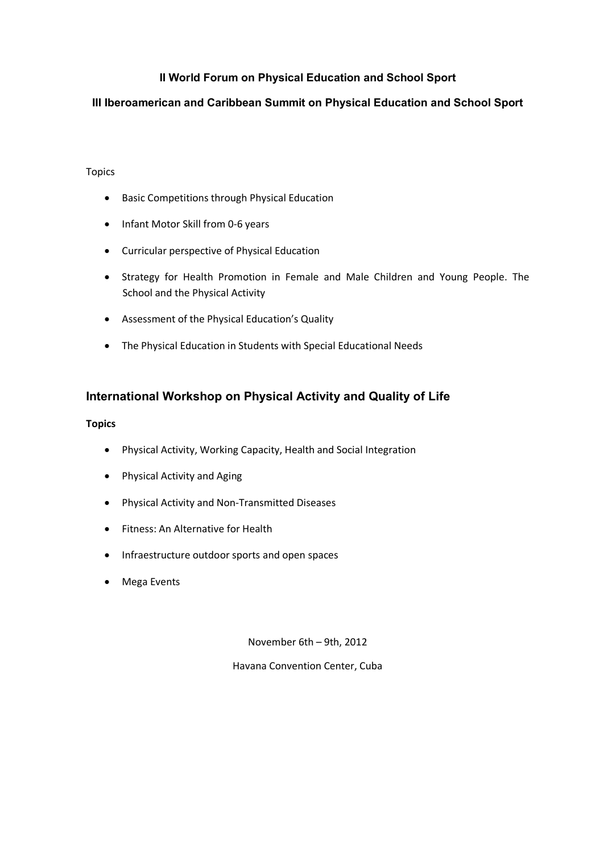# **II World Forum on Physical Education and School Sport**

## **III Iberoamerican and Caribbean Summit on Physical Education and School Sport**

#### Topics

- Basic Competitions through Physical Education
- Infant Motor Skill from 0-6 years
- Curricular perspective of Physical Education
- Strategy for Health Promotion in Female and Male Children and Young People. The School and the Physical Activity
- Assessment of the Physical Education's Quality
- The Physical Education in Students with Special Educational Needs

# **International Workshop on Physical Activity and Quality of Life**

#### **Topics**

- Physical Activity, Working Capacity, Health and Social Integration
- Physical Activity and Aging
- Physical Activity and Non-Transmitted Diseases
- Fitness: An Alternative for Health
- Infraestructure outdoor sports and open spaces
- Mega Events

November 6th - 9th, 2012

Havana Convention Center, Cuba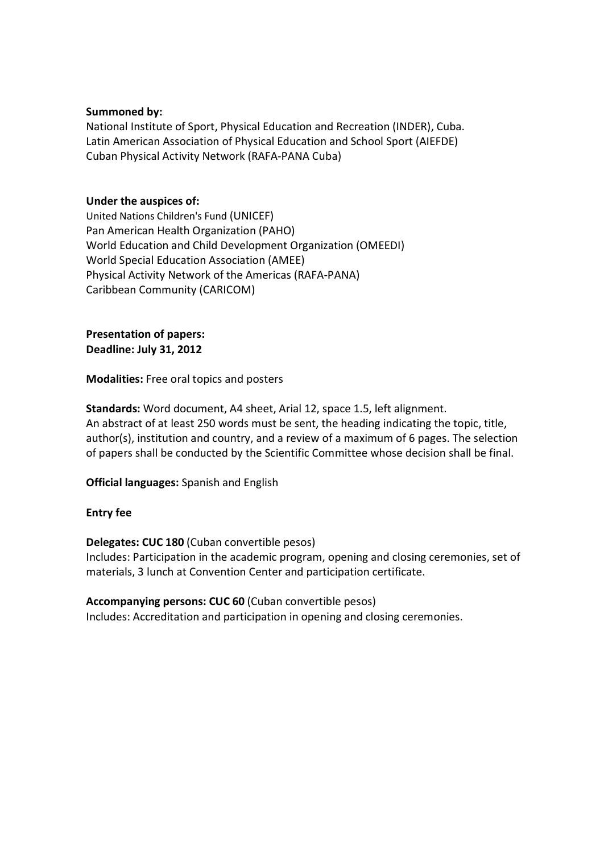### **Summoned by:**

National Institute of Sport, Physical Education and Recreation (INDER), Cuba. Latin American Association of Physical Education and School Sport (AIEFDE) Cuban Physical Activity Network (RAFA-PANA Cuba)

### **Under the auspices of:**

United Nations Children's Fund (UNICEF) Pan American Health Organization (PAHO) World Education and Child Development Organization (OMEEDI) World Special Education Association (AMEE) Physical Activity Network of the Americas (RAFA-PANA) Caribbean Community (CARICOM)

**Presentation of papers: Deadline: July 31, 2012**

**Modalities:** Free oral topics and posters

**Standards:** Word document, A4 sheet, Arial 12, space 1.5, left alignment. An abstract of at least 250 words must be sent, the heading indicating the topic, title, author(s), institution and country, and a review of a maximum of 6 pages. The selection of papers shall be conducted by the Scientific Committee whose decision shall be final.

**Official languages:** Spanish and English

### **Entry fee**

**Delegates: CUC 180** (Cuban convertible pesos) Includes: Participation in the academic program, opening and closing ceremonies, set of materials, 3 lunch at Convention Center and participation certificate.

**Accompanying persons: CUC 60** (Cuban convertible pesos) Includes: Accreditation and participation in opening and closing ceremonies.